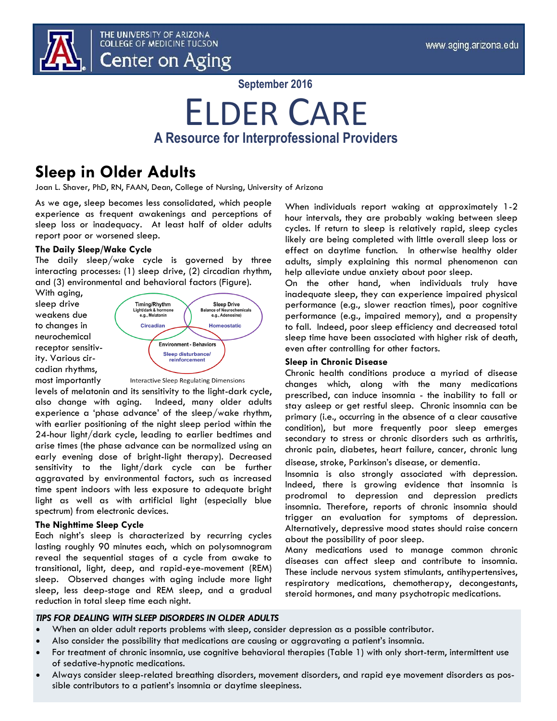

**September 2016**

## ELDER CARE **A Resource for Interprofessional Providers**

### **Sleep in Older Adults**

Joan L. Shaver, PhD, RN, FAAN, Dean, College of Nursing, University of Arizona

As we age, sleep becomes less consolidated, which people experience as frequent awakenings and perceptions of sleep loss or inadequacy. At least half of older adults report poor or worsened sleep.

### **The Daily Sleep/Wake Cycle**

The daily sleep/wake cycle is governed by three interacting processes: (1) sleep drive, (2) circadian rhythm, and (3) environmental and behavioral factors (Figure).

With aging, sleep drive weakens due to changes in neurochemical receptor sensitivity. Various circadian rhythms, most importantly



**Interactive Sleep Regulating Dimensions** 

levels of melatonin and its sensitivity to the light-dark cycle, also change with aging. Indeed, many older adults experience a 'phase advance' of the sleep/wake rhythm, with earlier positioning of the night sleep period within the 24-hour light/dark cycle, leading to earlier bedtimes and arise times (the phase advance can be normalized using an early evening dose of bright-light therapy). Decreased sensitivity to the light/dark cycle can be further aggravated by environmental factors, such as increased time spent indoors with less exposure to adequate bright light as well as with artificial light (especially blue spectrum) from electronic devices.

### **The Nighttime Sleep Cycle**

Each night's sleep is characterized by recurring cycles lasting roughly 90 minutes each, which on polysomnogram reveal the sequential stages of a cycle from awake to transitional, light, deep, and rapid-eye-movement (REM) sleep. Observed changes with aging include more light sleep, less deep-stage and REM sleep, and a gradual reduction in total sleep time each night.

When individuals report waking at approximately 1-2 hour intervals, they are probably waking between sleep cycles. If return to sleep is relatively rapid, sleep cycles likely are being completed with little overall sleep loss or effect on daytime function. In otherwise healthy older adults, simply explaining this normal phenomenon can help alleviate undue anxiety about poor sleep.

On the other hand, when individuals truly have inadequate sleep, they can experience impaired physical performance (e.g., slower reaction times), poor cognitive performance (e.g., impaired memory), and a propensity to fall. Indeed, poor sleep efficiency and decreased total sleep time have been associated with higher risk of death, even after controlling for other factors.

### **Sleep in Chronic Disease**

Chronic health conditions produce a myriad of disease changes which, along with the many medications prescribed, can induce insomnia - the inability to fall or stay asleep or get restful sleep. Chronic insomnia can be primary (i.e., occurring in the absence of a clear causative condition), but more frequently poor sleep emerges secondary to stress or chronic disorders such as arthritis, chronic pain, diabetes, heart failure, cancer, chronic lung

disease, stroke, Parkinson's disease, or dementia.

Insomnia is also strongly associated with depression. Indeed, there is growing evidence that insomnia is prodromal to depression and depression predicts insomnia. Therefore, reports of chronic insomnia should trigger an evaluation for symptoms of depression. Alternatively, depressive mood states should raise concern about the possibility of poor sleep.

Many medications used to manage common chronic diseases can affect sleep and contribute to insomnia. These include nervous system stimulants, antihypertensives, respiratory medications, chemotherapy, decongestants, steroid hormones, and many psychotropic medications.

### *TIPS FOR DEALING WITH SLEEP DISORDERS IN OLDER ADULTS*

- When an older adult reports problems with sleep, consider depression as a possible contributor.
- Also consider the possibility that medications are causing or aggravating a patient's insomnia.
- For treatment of chronic insomnia, use cognitive behavioral therapies (Table 1) with only short-term, intermittent use of sedative-hypnotic medications.
- Always consider sleep-related breathing disorders, movement disorders, and rapid eye movement disorders as possible contributors to a patient's insomnia or daytime sleepiness.